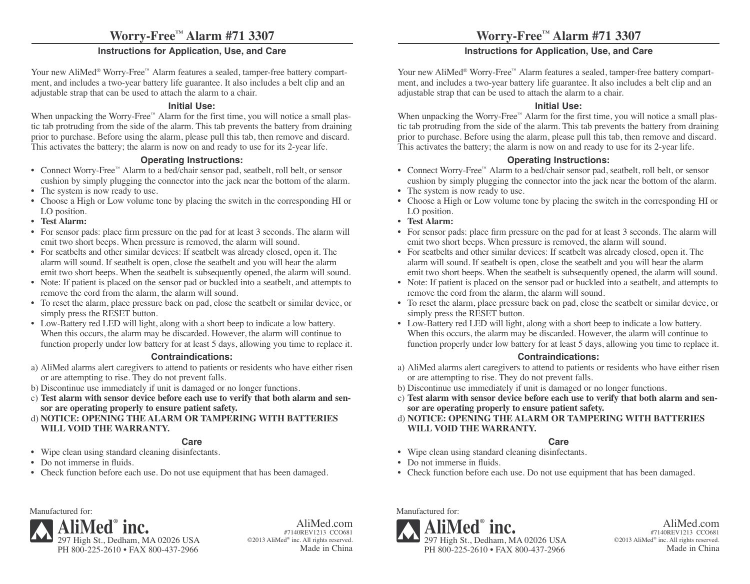# **Worry-Free™ Alarm #71 3307**

### **Instructions for Application, Use, and Care**

Your new AliMed<sup>®</sup> Worry-Free<sup>™</sup> Alarm features a sealed, tamper-free battery compartment, and includes a two-year battery life guarantee. It also includes a belt clip and an adjustable strap that can be used to attach the alarm to a chair.

#### **Initial Use:**

When unpacking the Worry-Free™ Alarm for the first time, you will notice a small plastic tab protruding from the side of the alarm. This tab prevents the battery from draining prior to purchase. Before using the alarm, please pull this tab, then remove and discard. This activates the battery; the alarm is now on and ready to use for its 2-year life.

#### **Operating Instructions:**

- Connect Worry-Free™ Alarm to a bed/chair sensor pad, seatbelt, roll belt, or sensor cushion by simply plugging the connector into the jack near the bottom of the alarm.
- The system is now ready to use.
- Choose a High or Low volume tone by placing the switch in the corresponding HI or LO position.
- **Test Alarm:**
- For sensor pads: place firm pressure on the pad for at least 3 seconds. The alarm will emit two short beeps. When pressure is removed, the alarm will sound.
- For seatbelts and other similar devices: If seatbelt was already closed, open it. The alarm will sound. If seatbelt is open, close the seatbelt and you will hear the alarm emit two short beeps. When the seatbelt is subsequently opened, the alarm will sound.
- Note: If patient is placed on the sensor pad or buckled into a seatbelt, and attempts to remove the cord from the alarm, the alarm will sound.
- To reset the alarm, place pressure back on pad, close the seatbelt or similar device, or simply press the RESET button.
- Low-Battery red LED will light, along with a short beep to indicate a low battery. When this occurs, the alarm may be discarded. However, the alarm will continue to function properly under low battery for at least 5 days, allowing you time to replace it.

#### **Contraindications:**

- a) AliMed alarms alert caregivers to attend to patients or residents who have either risen or are attempting to rise. They do not prevent falls.
- b) Discontinue use immediately if unit is damaged or no longer functions.
- c) **Test alarm with sensor device before each use to verify that both alarm and sensor are operating properly to ensure patient safety.**
- d) **NOTICE: OPENING THE ALARM OR TAMPERING WITH BATTERIES WILL VOID THE WARRANTY.**

#### **Care**

- Wipe clean using standard cleaning disinfectants.
- Do not immerse in fluids.
- Check function before each use. Do not use equipment that has been damaged.

## **Worry-Free™ Alarm #71 3307**

## **Instructions for Application, Use, and Care**

Your new AliMed<sup>®</sup> Worry-Free<sup>™</sup> Alarm features a sealed, tamper-free battery compartment, and includes a two-year battery life guarantee. It also includes a belt clip and an adjustable strap that can be used to attach the alarm to a chair.

#### **Initial Use:**

When unpacking the Worry-Free™ Alarm for the first time, you will notice a small plastic tab protruding from the side of the alarm. This tab prevents the battery from draining prior to purchase. Before using the alarm, please pull this tab, then remove and discard. This activates the battery; the alarm is now on and ready to use for its 2-year life.

#### **Operating Instructions:**

- Connect Worry-Free™ Alarm to a bed/chair sensor pad, seatbelt, roll belt, or sensor cushion by simply plugging the connector into the jack near the bottom of the alarm.
- The system is now ready to use.
- Choose a High or Low volume tone by placing the switch in the corresponding HI or LO position.
- **Test Alarm:**
- For sensor pads: place firm pressure on the pad for at least 3 seconds. The alarm will emit two short beeps. When pressure is removed, the alarm will sound.
- For seatbelts and other similar devices: If seatbelt was already closed, open it. The alarm will sound. If seatbelt is open, close the seatbelt and you will hear the alarm emit two short beeps. When the seatbelt is subsequently opened, the alarm will sound.
- Note: If patient is placed on the sensor pad or buckled into a seatbelt, and attempts to remove the cord from the alarm, the alarm will sound.
- To reset the alarm, place pressure back on pad, close the seatbelt or similar device, or simply press the RESET button.
- Low-Battery red LED will light, along with a short beep to indicate a low battery. When this occurs, the alarm may be discarded. However, the alarm will continue to function properly under low battery for at least 5 days, allowing you time to replace it.

#### **Contraindications:**

- a) AliMed alarms alert caregivers to attend to patients or residents who have either risen or are attempting to rise. They do not prevent falls.
- b) Discontinue use immediately if unit is damaged or no longer functions.
- c) **Test alarm with sensor device before each use to verify that both alarm and sensor are operating properly to ensure patient safety.**
- d) **NOTICE: OPENING THE ALARM OR TAMPERING WITH BATTERIES WILL VOID THE WARRANTY.**

#### **Care**

- Wipe clean using standard cleaning disinfectants.
- Do not immerse in fluids.
- Check function before each use. Do not use equipment that has been damaged.

Manufactured for:



AliMed.com #7140REV1213 CCO681 ©2013 AliMed® inc. All rights reserved. Made in China Manufactured for:



AliMed.com #7140REV1213 CCO681 ©2013 AliMed® inc. All rights reserved. Made in China